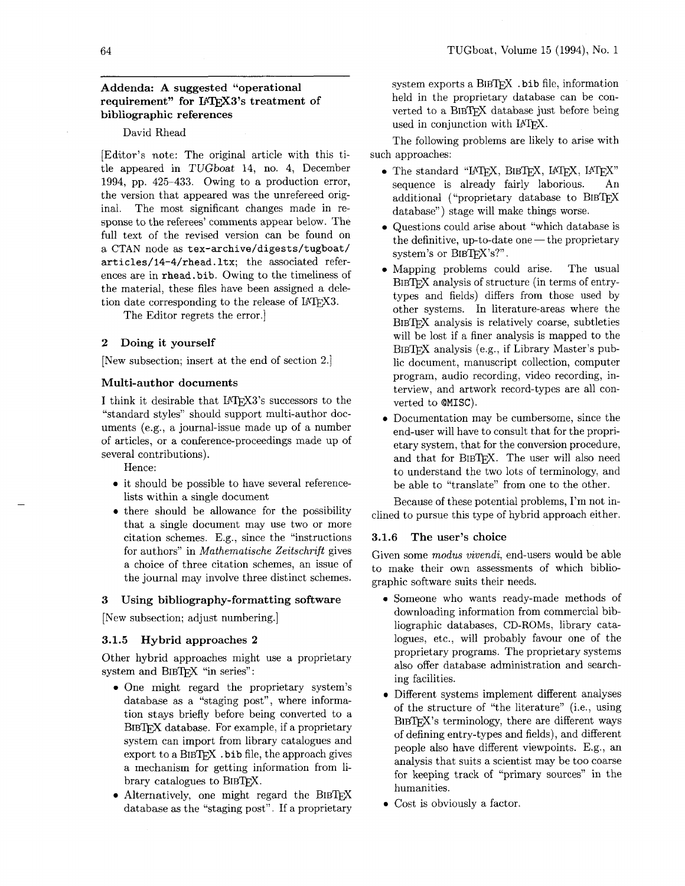# **Addenda: A suggested "operational**  requirement" for IATFX3's treatment of **bibliographic references**

### David Rhead

[Editor's note: The original article with this title appeared in TUGboat 14, no. 4, December 1994, pp. 425-433. Owing to a production error, the version that appeared was the unrefereed original. The most significant changes made in response to the referees' comments appear below. The full text of the revised version can be found on a CTAN node as **tex-archive/digests/tugboat/ articles/l4-4/rhead. ltx;** the associated references are in **rhead.bib.** Owing to the timeliness of the material, these files have been assigned a deletion date corresponding to the release of IATFX3.

The Editor regrets the error.]

### **2 Doing it yourself**

[New subsection; insert at the end of section 2.1

### **Multi-author documents**

I think it desirable that  $IATFX3$ 's successors to the "standard styles" should support multi-author documents (e.g., a journal-issue made up of a number of articles, or a conference-proceedings made up of several contributions).

Hence:

- it should be possible to have several referencelists within a single document
- there should be allowance for the possibility that a single document may use two or more citation schemes. E.g., since the "instructions for authors" in Mathematische Zeitschrifi gives a choice of three citation schemes, an issue of the journal may involve three distinct schemes.

#### **3 Using bibliography-formatting software**

[New subsection; adjust numbering.]

#### **3.1.5 Hybrid approaches 2**

Other hybrid approaches might use a proprietary system and BIBTFX "in series":

- One might regard the proprietary system's database as a "staging post", where information stays briefly before being converted to a BIBTFX database. For example, if a proprietary system can import from library catalogues and export to a  $BIBTrX$ . bib file, the approach gives a mechanism for getting information from library catalogues to BIBTEX.
- $\bullet$  Alternatively, one might regard the BIBTFX database as the "staging post". If a proprietary

system exports a BIBTFX . bib file, information held in the proprietary database can be converted to a BIBTEX database just before being used in conjunction with LAT<sub>F</sub>X.

The following problems are likely to arise with such approaches:

- $\bullet$  The standard "LATFX, BIBTFX, LATFX, LATFX" sequence is already fairly laborious. An additional ("proprietary database to BIB^ database") stage will make things worse.
- Questions could arise about "which database is the definitive, up-to-date one  $-$  the proprietary system's or BIBTEX's?".
- Mapping problems could arise. The usual BIBTFX analysis of structure (in terms of entrytypes and fields) differs from those used by other systems. In literature-areas where the BIBTFX analysis is relatively coarse, subtleties will be lost if a finer analysis is mapped to the BIBTFX analysis (e.g., if Library Master's public document, manuscript collection, computer program, audio recording, video recording, interview, and artwork record-types are all converted to **OMISC).**
- Documentation may be cumbersome, since the end-user will have to consult that for the proprietary system, that for the conversion procedure, and that for BIBTFX. The user will also need to understand the two lots of terminology, and be able to "translate" from one to the other.

Because of these potential problems, I'm not inclined to pursue this type of hybrid approach either.

#### **3.1.6 The user's choice**

Given some modus vivendi, end-users would be able to make their own assessments of which bibliographic software suits their needs.

- Someone who wants ready-made methods of downloading information from commercial bibliographic databases, CD-ROMs, library catalogues, etc., will probably favour one of the proprietary programs. The proprietary systems also offer database administration and searching facilities.
- Different systems implement different analyses of the structure of "the literature" (i.e., using  $BIBTFX$ 's terminology, there are different ways of defining entry-types and fields), and different people also have different viewpoints. E.g., an analysis that suits a scientist may be too coarse for keeping track of "primary sources" in the humanities.
- Cost is obviously a factor.